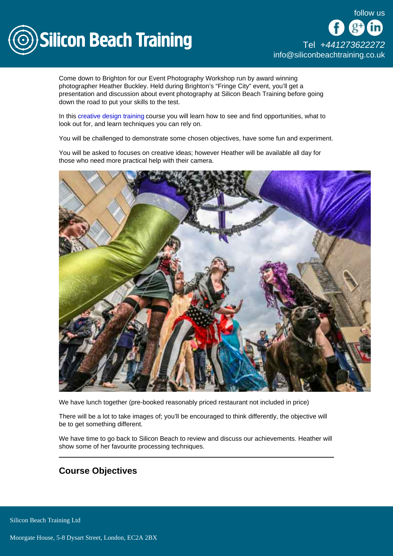

Come down to Brighton for our Event Photography Workshop run by award winning photographer Heather Buckley. Held during Brighton's "Fringe City" event, you'll get a presentation and discussion about event photography at Silicon Beach Training before going down the road to put your skills to the test.

In this [creative design training](/creative-design) course you will learn how to see and find opportunities, what to look out for, and learn techniques you can rely on.

You will be challenged to demonstrate some chosen objectives, have some fun and experiment.

You will be asked to focuses on creative ideas; however Heather will be available all day for those who need more practical help with their camera.

We have lunch together (pre-booked reasonably priced restaurant not included in price)

There will be a lot to take images of; you'll be encouraged to think differently, the objective will be to get something different.

We have time to go back to Silicon Beach to review and discuss our achievements. Heather will show some of her favourite processing techniques.

Course Objectives

Silicon Beach Training Ltd